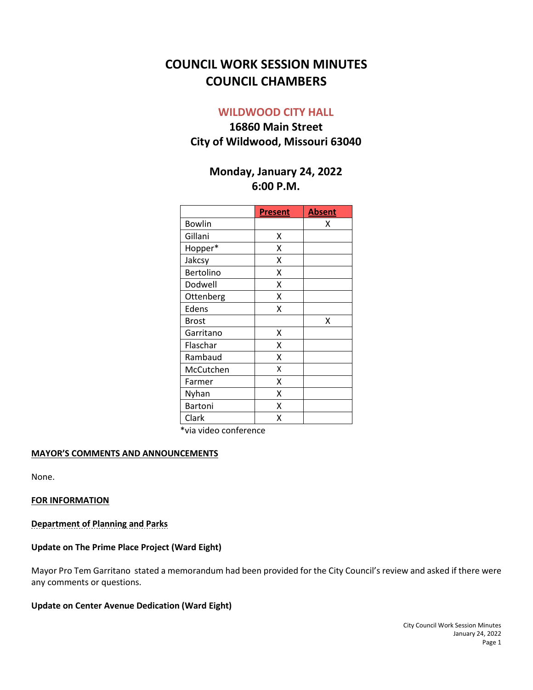# **COUNCIL WORK SESSION MINUTES COUNCIL CHAMBERS**

## **WILDWOOD CITY HALL**

## **16860 Main Street City of Wildwood, Missouri 63040**

## **Monday, January 24, 2022 6:00 P.M.**

|               | <b>Present</b> | <b>Absent</b> |
|---------------|----------------|---------------|
| <b>Bowlin</b> |                | х             |
| Gillani       | X              |               |
| Hopper*       | X              |               |
| Jakcsy        | Χ              |               |
| Bertolino     | Χ              |               |
| Dodwell       | Χ              |               |
| Ottenberg     | Χ              |               |
| Edens         | X              |               |
| <b>Brost</b>  |                | Χ             |
| Garritano     | Χ              |               |
| Flaschar      | x              |               |
| Rambaud       | X              |               |
| McCutchen     | Χ              |               |
| Farmer        | Χ              |               |
| Nyhan         | X              |               |
| Bartoni       | X              |               |
| Clark         | Χ              |               |

\*via video conference

#### **MAYOR'S COMMENTS AND ANNOUNCEMENTS**

None.

#### **FOR INFORMATION**

#### **Department of Planning and Parks**

#### **Update on The Prime Place Project (Ward Eight)**

Mayor Pro Tem Garritano stated a memorandum had been provided for the City Council's review and asked if there were any comments or questions.

#### **Update on Center Avenue Dedication (Ward Eight)**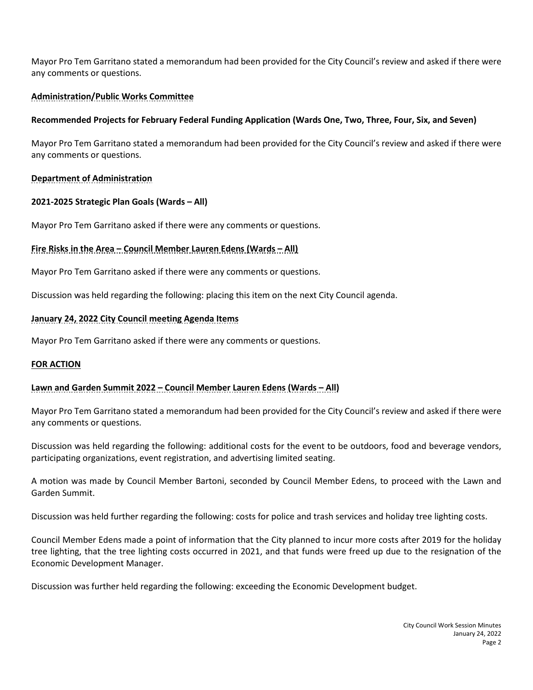Mayor Pro Tem Garritano stated a memorandum had been provided for the City Council's review and asked if there were any comments or questions.

## **Administration/Public Works Committee**

## **Recommended Projects for February Federal Funding Application (Wards One, Two, Three, Four, Six, and Seven)**

Mayor Pro Tem Garritano stated a memorandum had been provided for the City Council's review and asked if there were any comments or questions.

## **Department of Administration**

#### **2021-2025 Strategic Plan Goals (Wards – All)**

Mayor Pro Tem Garritano asked if there were any comments or questions.

## **Fire Risks in the Area – Council Member Lauren Edens (Wards – All)**

Mayor Pro Tem Garritano asked if there were any comments or questions.

Discussion was held regarding the following: placing this item on the next City Council agenda.

#### **January 24, 2022 City Council meeting Agenda Items**

Mayor Pro Tem Garritano asked if there were any comments or questions.

## **FOR ACTION**

## **Lawn and Garden Summit 2022 – Council Member Lauren Edens (Wards – All)**

Mayor Pro Tem Garritano stated a memorandum had been provided for the City Council's review and asked if there were any comments or questions.

Discussion was held regarding the following: additional costs for the event to be outdoors, food and beverage vendors, participating organizations, event registration, and advertising limited seating.

A motion was made by Council Member Bartoni, seconded by Council Member Edens, to proceed with the Lawn and Garden Summit.

Discussion was held further regarding the following: costs for police and trash services and holiday tree lighting costs.

Council Member Edens made a point of information that the City planned to incur more costs after 2019 for the holiday tree lighting, that the tree lighting costs occurred in 2021, and that funds were freed up due to the resignation of the Economic Development Manager.

Discussion was further held regarding the following: exceeding the Economic Development budget.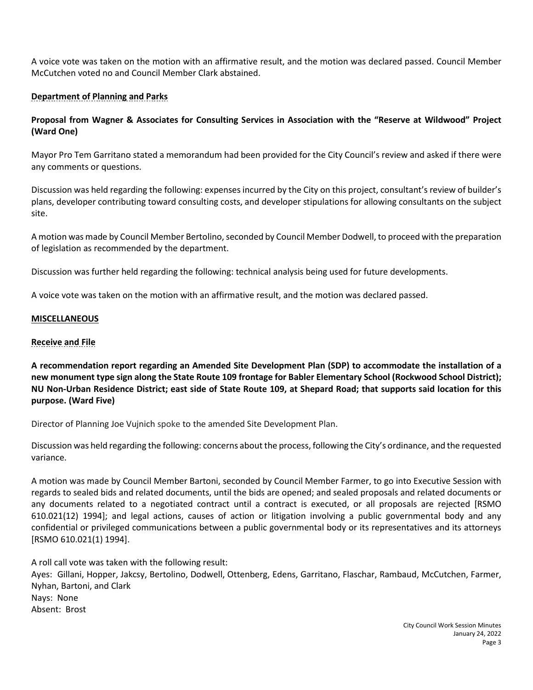A voice vote was taken on the motion with an affirmative result, and the motion was declared passed. Council Member McCutchen voted no and Council Member Clark abstained.

## **Department of Planning and Parks**

## **Proposal from Wagner & Associates for Consulting Services in Association with the "Reserve at Wildwood" Project (Ward One)**

Mayor Pro Tem Garritano stated a memorandum had been provided for the City Council's review and asked if there were any comments or questions.

Discussion was held regarding the following: expenses incurred by the City on this project, consultant's review of builder's plans, developer contributing toward consulting costs, and developer stipulations for allowing consultants on the subject site.

A motion was made by Council Member Bertolino, seconded by Council Member Dodwell, to proceed with the preparation of legislation as recommended by the department.

Discussion was further held regarding the following: technical analysis being used for future developments.

A voice vote was taken on the motion with an affirmative result, and the motion was declared passed.

#### **MISCELLANEOUS**

#### **Receive and File**

**A recommendation report regarding an Amended Site Development Plan (SDP) to accommodate the installation of a new monument type sign along the State Route 109 frontage for Babler Elementary School (Rockwood School District); NU Non-Urban Residence District; east side of State Route 109, at Shepard Road; that supports said location for this purpose. (Ward Five)**

Director of Planning Joe Vujnich spoke to the amended Site Development Plan.

Discussion was held regarding the following: concerns about the process, following the City's ordinance, and the requested variance.

A motion was made by Council Member Bartoni, seconded by Council Member Farmer, to go into Executive Session with regards to sealed bids and related documents, until the bids are opened; and sealed proposals and related documents or any documents related to a negotiated contract until a contract is executed, or all proposals are rejected [RSMO 610.021(12) 1994]; and legal actions, causes of action or litigation involving a public governmental body and any confidential or privileged communications between a public governmental body or its representatives and its attorneys [RSMO 610.021(1) 1994].

A roll call vote was taken with the following result:

Ayes: Gillani, Hopper, Jakcsy, Bertolino, Dodwell, Ottenberg, Edens, Garritano, Flaschar, Rambaud, McCutchen, Farmer, Nyhan, Bartoni, and Clark Nays: None Absent: Brost

> City Council Work Session Minutes January 24, 2022 Page 3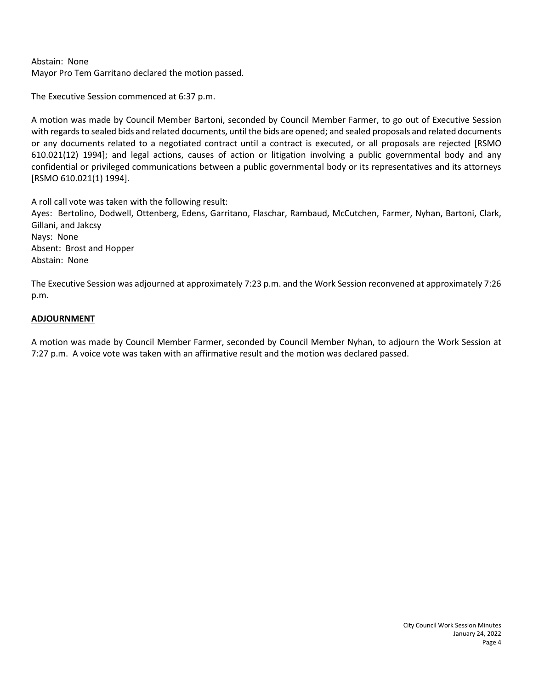## Abstain: None Mayor Pro Tem Garritano declared the motion passed.

The Executive Session commenced at 6:37 p.m.

A motion was made by Council Member Bartoni, seconded by Council Member Farmer, to go out of Executive Session with regards to sealed bids and related documents, until the bids are opened; and sealed proposals and related documents or any documents related to a negotiated contract until a contract is executed, or all proposals are rejected [RSMO 610.021(12) 1994]; and legal actions, causes of action or litigation involving a public governmental body and any confidential or privileged communications between a public governmental body or its representatives and its attorneys [RSMO 610.021(1) 1994].

A roll call vote was taken with the following result: Ayes: Bertolino, Dodwell, Ottenberg, Edens, Garritano, Flaschar, Rambaud, McCutchen, Farmer, Nyhan, Bartoni, Clark, Gillani, and Jakcsy Nays: None Absent: Brost and Hopper Abstain: None

The Executive Session was adjourned at approximately 7:23 p.m. and the Work Session reconvened at approximately 7:26 p.m.

#### **ADJOURNMENT**

A motion was made by Council Member Farmer, seconded by Council Member Nyhan, to adjourn the Work Session at 7:27 p.m. A voice vote was taken with an affirmative result and the motion was declared passed.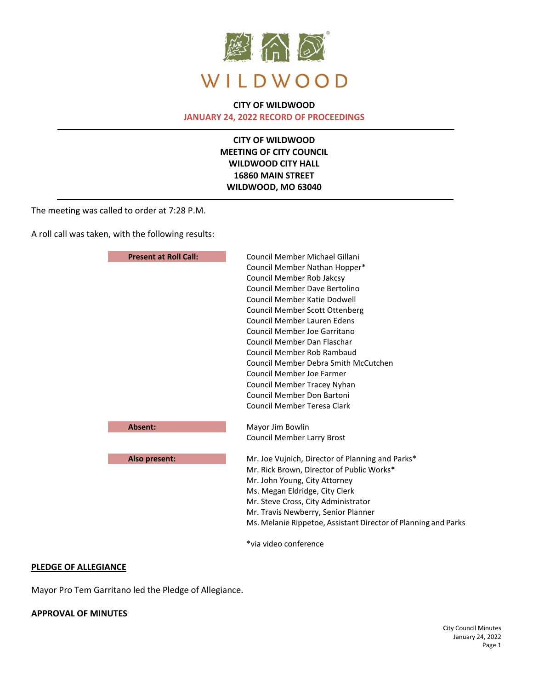

### **CITY OF WILDWOOD JANUARY 24, 2022 RECORD OF PROCEEDINGS**

**CITY OF WILDWOOD MEETING OF CITY COUNCIL WILDWOOD CITY HALL 16860 MAIN STREET WILDWOOD, MO 63040**

The meeting was called to order at 7:28 P.M.

A roll call was taken, with the following results:

| <b>Present at Roll Call:</b> | Council Member Michael Gillani                                 |
|------------------------------|----------------------------------------------------------------|
|                              | Council Member Nathan Hopper*                                  |
|                              | Council Member Rob Jakcsy                                      |
|                              | Council Member Dave Bertolino                                  |
|                              | Council Member Katie Dodwell                                   |
|                              | <b>Council Member Scott Ottenberg</b>                          |
|                              | Council Member Lauren Edens                                    |
|                              | Council Member Joe Garritano                                   |
|                              | Council Member Dan Flaschar                                    |
|                              | Council Member Rob Rambaud                                     |
|                              | Council Member Debra Smith McCutchen                           |
|                              | Council Member Joe Farmer                                      |
|                              | Council Member Tracey Nyhan                                    |
|                              | Council Member Don Bartoni                                     |
|                              | Council Member Teresa Clark                                    |
| <b>Absent:</b>               | Mayor Jim Bowlin                                               |
|                              | <b>Council Member Larry Brost</b>                              |
| Also present:                | Mr. Joe Vujnich, Director of Planning and Parks*               |
|                              | Mr. Rick Brown, Director of Public Works*                      |
|                              | Mr. John Young, City Attorney                                  |
|                              | Ms. Megan Eldridge, City Clerk                                 |
|                              | Mr. Steve Cross, City Administrator                            |
|                              | Mr. Travis Newberry, Senior Planner                            |
|                              | Ms. Melanie Rippetoe, Assistant Director of Planning and Parks |
|                              | *via video conference                                          |

#### **PLEDGE OF ALLEGIANCE**

Mayor Pro Tem Garritano led the Pledge of Allegiance.

#### **APPROVAL OF MINUTES**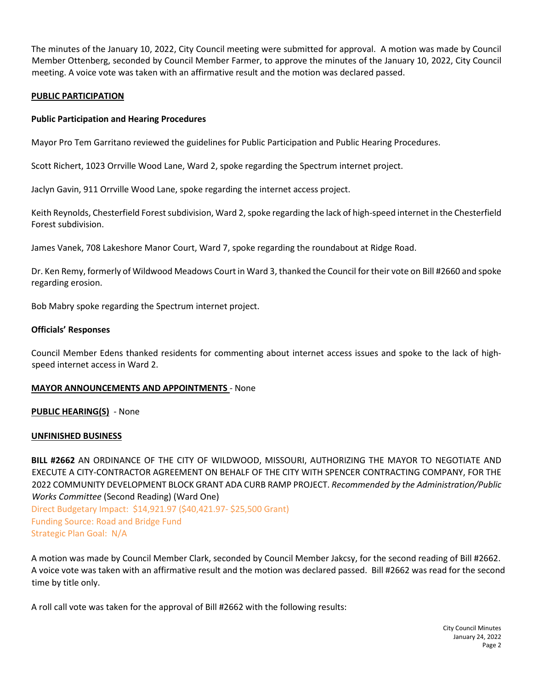The minutes of the January 10, 2022, City Council meeting were submitted for approval. A motion was made by Council Member Ottenberg, seconded by Council Member Farmer, to approve the minutes of the January 10, 2022, City Council meeting. A voice vote was taken with an affirmative result and the motion was declared passed.

#### **PUBLIC PARTICIPATION**

#### **Public Participation and Hearing Procedures**

Mayor Pro Tem Garritano reviewed the guidelines for Public Participation and Public Hearing Procedures.

Scott Richert, 1023 Orrville Wood Lane, Ward 2, spoke regarding the Spectrum internet project.

Jaclyn Gavin, 911 Orrville Wood Lane, spoke regarding the internet access project.

Keith Reynolds, Chesterfield Forest subdivision, Ward 2, spoke regarding the lack of high-speed internet in the Chesterfield Forest subdivision.

James Vanek, 708 Lakeshore Manor Court, Ward 7, spoke regarding the roundabout at Ridge Road.

Dr. Ken Remy, formerly of Wildwood Meadows Court in Ward 3, thanked the Council for their vote on Bill #2660 and spoke regarding erosion.

Bob Mabry spoke regarding the Spectrum internet project.

#### **Officials' Responses**

Council Member Edens thanked residents for commenting about internet access issues and spoke to the lack of highspeed internet access in Ward 2.

#### **MAYOR ANNOUNCEMENTS AND APPOINTMENTS** - None

**PUBLIC HEARING(S)** - None

#### **UNFINISHED BUSINESS**

**BILL #2662** AN ORDINANCE OF THE CITY OF WILDWOOD, MISSOURI, AUTHORIZING THE MAYOR TO NEGOTIATE AND EXECUTE A CITY-CONTRACTOR AGREEMENT ON BEHALF OF THE CITY WITH SPENCER CONTRACTING COMPANY, FOR THE 2022 COMMUNITY DEVELOPMENT BLOCK GRANT ADA CURB RAMP PROJECT. *Recommended by the Administration/Public Works Committee* (Second Reading) (Ward One)

Direct Budgetary Impact: \$14,921.97 (\$40,421.97- \$25,500 Grant) Funding Source: Road and Bridge Fund Strategic Plan Goal: N/A

A motion was made by Council Member Clark, seconded by Council Member Jakcsy, for the second reading of Bill #2662. A voice vote was taken with an affirmative result and the motion was declared passed. Bill #2662 was read for the second time by title only.

A roll call vote was taken for the approval of Bill #2662 with the following results: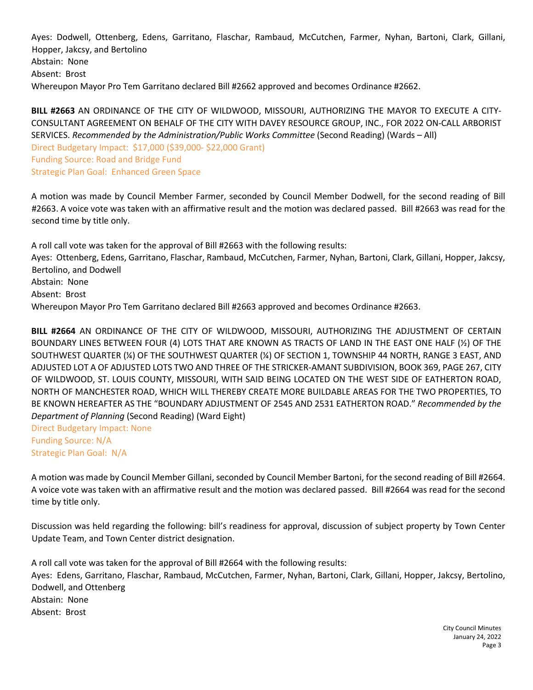Ayes: Dodwell, Ottenberg, Edens, Garritano, Flaschar, Rambaud, McCutchen, Farmer, Nyhan, Bartoni, Clark, Gillani, Hopper, Jakcsy, and Bertolino Abstain: None Absent: Brost Whereupon Mayor Pro Tem Garritano declared Bill #2662 approved and becomes Ordinance #2662.

**BILL #2663** AN ORDINANCE OF THE CITY OF WILDWOOD, MISSOURI, AUTHORIZING THE MAYOR TO EXECUTE A CITY-CONSULTANT AGREEMENT ON BEHALF OF THE CITY WITH DAVEY RESOURCE GROUP, INC., FOR 2022 ON-CALL ARBORIST SERVICES. *Recommended by the Administration/Public Works Committee* (Second Reading) (Wards – All) Direct Budgetary Impact: \$17,000 (\$39,000- \$22,000 Grant) Funding Source: Road and Bridge Fund Strategic Plan Goal: Enhanced Green Space

A motion was made by Council Member Farmer, seconded by Council Member Dodwell, for the second reading of Bill #2663. A voice vote was taken with an affirmative result and the motion was declared passed. Bill #2663 was read for the second time by title only.

A roll call vote was taken for the approval of Bill #2663 with the following results: Ayes: Ottenberg, Edens, Garritano, Flaschar, Rambaud, McCutchen, Farmer, Nyhan, Bartoni, Clark, Gillani, Hopper, Jakcsy, Bertolino, and Dodwell Abstain: None Absent: Brost Whereupon Mayor Pro Tem Garritano declared Bill #2663 approved and becomes Ordinance #2663.

**BILL #2664** AN ORDINANCE OF THE CITY OF WILDWOOD, MISSOURI, AUTHORIZING THE ADJUSTMENT OF CERTAIN BOUNDARY LINES BETWEEN FOUR (4) LOTS THAT ARE KNOWN AS TRACTS OF LAND IN THE EAST ONE HALF (½) OF THE SOUTHWEST QUARTER (¼) OF THE SOUTHWEST QUARTER (¼) OF SECTION 1, TOWNSHIP 44 NORTH, RANGE 3 EAST, AND ADJUSTED LOT A OF ADJUSTED LOTS TWO AND THREE OF THE STRICKER-AMANT SUBDIVISION, BOOK 369, PAGE 267, CITY OF WILDWOOD, ST. LOUIS COUNTY, MISSOURI, WITH SAID BEING LOCATED ON THE WEST SIDE OF EATHERTON ROAD, NORTH OF MANCHESTER ROAD, WHICH WILL THEREBY CREATE MORE BUILDABLE AREAS FOR THE TWO PROPERTIES, TO BE KNOWN HEREAFTER AS THE "BOUNDARY ADJUSTMENT OF 2545 AND 2531 EATHERTON ROAD." *Recommended by the Department of Planning* (Second Reading) (Ward Eight)

Direct Budgetary Impact: None Funding Source: N/A Strategic Plan Goal: N/A

A motion was made by Council Member Gillani, seconded by Council Member Bartoni, for the second reading of Bill #2664. A voice vote was taken with an affirmative result and the motion was declared passed. Bill #2664 was read for the second time by title only.

Discussion was held regarding the following: bill's readiness for approval, discussion of subject property by Town Center Update Team, and Town Center district designation.

A roll call vote was taken for the approval of Bill #2664 with the following results: Ayes: Edens, Garritano, Flaschar, Rambaud, McCutchen, Farmer, Nyhan, Bartoni, Clark, Gillani, Hopper, Jakcsy, Bertolino, Dodwell, and Ottenberg Abstain: None Absent: Brost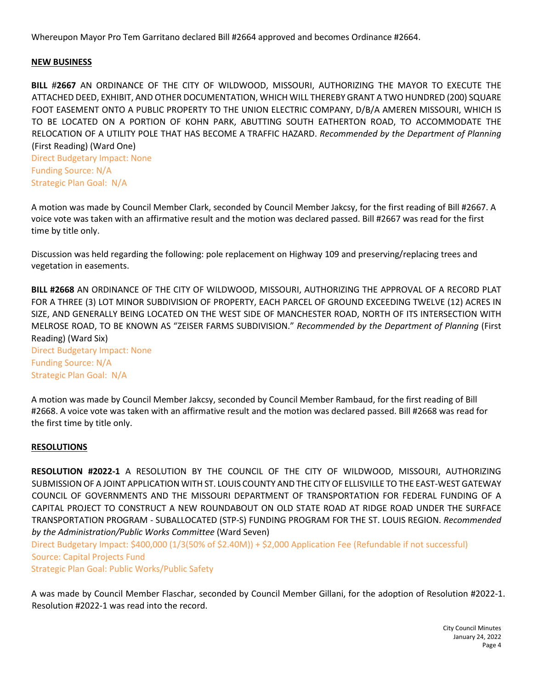Whereupon Mayor Pro Tem Garritano declared Bill #2664 approved and becomes Ordinance #2664.

#### **NEW BUSINESS**

**BILL #2667** AN ORDINANCE OF THE CITY OF WILDWOOD, MISSOURI, AUTHORIZING THE MAYOR TO EXECUTE THE ATTACHED DEED, EXHIBIT, AND OTHER DOCUMENTATION, WHICH WILL THEREBY GRANT A TWO HUNDRED (200) SQUARE FOOT EASEMENT ONTO A PUBLIC PROPERTY TO THE UNION ELECTRIC COMPANY, D/B/A AMEREN MISSOURI, WHICH IS TO BE LOCATED ON A PORTION OF KOHN PARK, ABUTTING SOUTH EATHERTON ROAD, TO ACCOMMODATE THE RELOCATION OF A UTILITY POLE THAT HAS BECOME A TRAFFIC HAZARD. *Recommended by the Department of Planning* (First Reading) (Ward One)

Direct Budgetary Impact: None Funding Source: N/A Strategic Plan Goal: N/A

A motion was made by Council Member Clark, seconded by Council Member Jakcsy, for the first reading of Bill #2667. A voice vote was taken with an affirmative result and the motion was declared passed. Bill #2667 was read for the first time by title only.

Discussion was held regarding the following: pole replacement on Highway 109 and preserving/replacing trees and vegetation in easements.

**BILL #2668** AN ORDINANCE OF THE CITY OF WILDWOOD, MISSOURI, AUTHORIZING THE APPROVAL OF A RECORD PLAT FOR A THREE (3) LOT MINOR SUBDIVISION OF PROPERTY, EACH PARCEL OF GROUND EXCEEDING TWELVE (12) ACRES IN SIZE, AND GENERALLY BEING LOCATED ON THE WEST SIDE OF MANCHESTER ROAD, NORTH OF ITS INTERSECTION WITH MELROSE ROAD, TO BE KNOWN AS "ZEISER FARMS SUBDIVISION." *Recommended by the Department of Planning* (First Reading) (Ward Six) Direct Budgetary Impact: None

Funding Source: N/A Strategic Plan Goal: N/A

A motion was made by Council Member Jakcsy, seconded by Council Member Rambaud, for the first reading of Bill #2668. A voice vote was taken with an affirmative result and the motion was declared passed. Bill #2668 was read for the first time by title only.

#### **RESOLUTIONS**

**RESOLUTION #2022-1** A RESOLUTION BY THE COUNCIL OF THE CITY OF WILDWOOD, MISSOURI, AUTHORIZING SUBMISSION OF A JOINT APPLICATION WITH ST. LOUIS COUNTY AND THE CITY OF ELLISVILLE TO THE EAST-WEST GATEWAY COUNCIL OF GOVERNMENTS AND THE MISSOURI DEPARTMENT OF TRANSPORTATION FOR FEDERAL FUNDING OF A CAPITAL PROJECT TO CONSTRUCT A NEW ROUNDABOUT ON OLD STATE ROAD AT RIDGE ROAD UNDER THE SURFACE TRANSPORTATION PROGRAM - SUBALLOCATED (STP-S) FUNDING PROGRAM FOR THE ST. LOUIS REGION. *Recommended by the Administration/Public Works Committee* (Ward Seven)

Direct Budgetary Impact: \$400,000 (1/3(50% of \$2.40M)) + \$2,000 Application Fee (Refundable if not successful) Source: Capital Projects Fund

Strategic Plan Goal: Public Works/Public Safety

A was made by Council Member Flaschar, seconded by Council Member Gillani, for the adoption of Resolution #2022-1. Resolution #2022-1 was read into the record.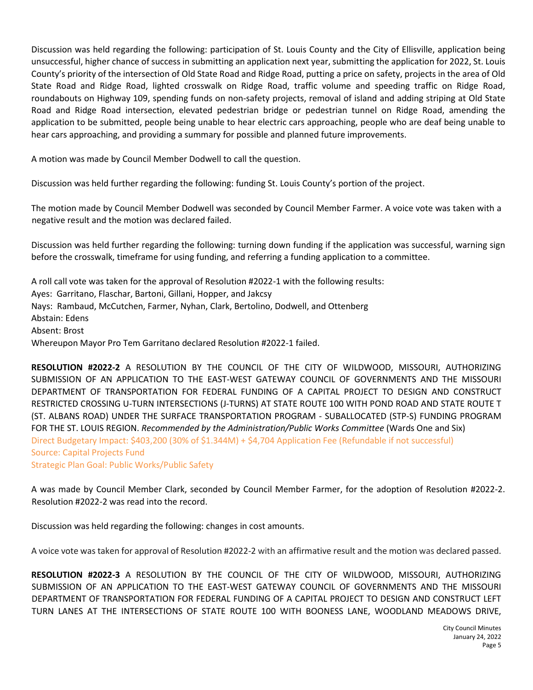Discussion was held regarding the following: participation of St. Louis County and the City of Ellisville, application being unsuccessful, higher chance of success in submitting an application next year, submitting the application for 2022, St. Louis County's priority of the intersection of Old State Road and Ridge Road, putting a price on safety, projects in the area of Old State Road and Ridge Road, lighted crosswalk on Ridge Road, traffic volume and speeding traffic on Ridge Road, roundabouts on Highway 109, spending funds on non-safety projects, removal of island and adding striping at Old State Road and Ridge Road intersection, elevated pedestrian bridge or pedestrian tunnel on Ridge Road, amending the application to be submitted, people being unable to hear electric cars approaching, people who are deaf being unable to hear cars approaching, and providing a summary for possible and planned future improvements.

A motion was made by Council Member Dodwell to call the question.

Discussion was held further regarding the following: funding St. Louis County's portion of the project.

The motion made by Council Member Dodwell was seconded by Council Member Farmer. A voice vote was taken with a negative result and the motion was declared failed.

Discussion was held further regarding the following: turning down funding if the application was successful, warning sign before the crosswalk, timeframe for using funding, and referring a funding application to a committee.

A roll call vote was taken for the approval of Resolution #2022-1 with the following results: Ayes: Garritano, Flaschar, Bartoni, Gillani, Hopper, and Jakcsy Nays: Rambaud, McCutchen, Farmer, Nyhan, Clark, Bertolino, Dodwell, and Ottenberg Abstain: Edens Absent: Brost Whereupon Mayor Pro Tem Garritano declared Resolution #2022-1 failed.

**RESOLUTION #2022-2** A RESOLUTION BY THE COUNCIL OF THE CITY OF WILDWOOD, MISSOURI, AUTHORIZING SUBMISSION OF AN APPLICATION TO THE EAST-WEST GATEWAY COUNCIL OF GOVERNMENTS AND THE MISSOURI DEPARTMENT OF TRANSPORTATION FOR FEDERAL FUNDING OF A CAPITAL PROJECT TO DESIGN AND CONSTRUCT RESTRICTED CROSSING U-TURN INTERSECTIONS (J-TURNS) AT STATE ROUTE 100 WITH POND ROAD AND STATE ROUTE T (ST. ALBANS ROAD) UNDER THE SURFACE TRANSPORTATION PROGRAM - SUBALLOCATED (STP-S) FUNDING PROGRAM FOR THE ST. LOUIS REGION. *Recommended by the Administration/Public Works Committee* (Wards One and Six) Direct Budgetary Impact: \$403,200 (30% of \$1.344M) + \$4,704 Application Fee (Refundable if not successful) Source: Capital Projects Fund Strategic Plan Goal: Public Works/Public Safety

A was made by Council Member Clark, seconded by Council Member Farmer, for the adoption of Resolution #2022-2. Resolution #2022-2 was read into the record.

Discussion was held regarding the following: changes in cost amounts.

A voice vote was taken for approval of Resolution #2022-2 with an affirmative result and the motion was declared passed.

**RESOLUTION #2022-3** A RESOLUTION BY THE COUNCIL OF THE CITY OF WILDWOOD, MISSOURI, AUTHORIZING SUBMISSION OF AN APPLICATION TO THE EAST-WEST GATEWAY COUNCIL OF GOVERNMENTS AND THE MISSOURI DEPARTMENT OF TRANSPORTATION FOR FEDERAL FUNDING OF A CAPITAL PROJECT TO DESIGN AND CONSTRUCT LEFT TURN LANES AT THE INTERSECTIONS OF STATE ROUTE 100 WITH BOONESS LANE, WOODLAND MEADOWS DRIVE,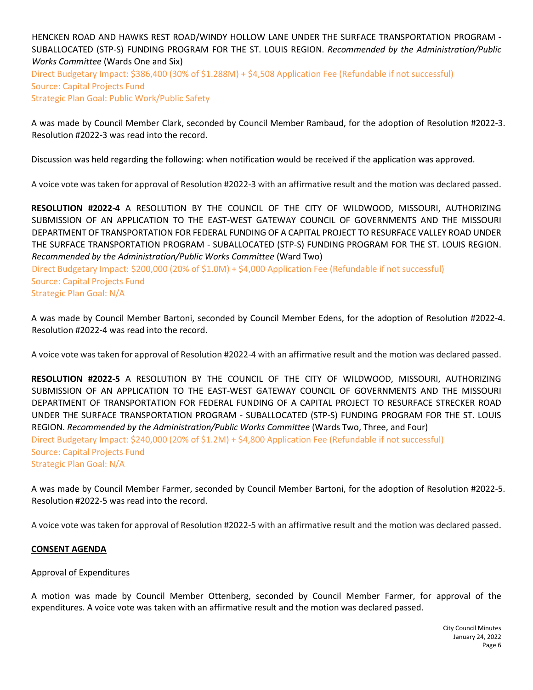## HENCKEN ROAD AND HAWKS REST ROAD/WINDY HOLLOW LANE UNDER THE SURFACE TRANSPORTATION PROGRAM - SUBALLOCATED (STP-S) FUNDING PROGRAM FOR THE ST. LOUIS REGION. *Recommended by the Administration/Public Works Committee* (Wards One and Six) Direct Budgetary Impact: \$386,400 (30% of \$1.288M) + \$4,508 Application Fee (Refundable if not successful) Source: Capital Projects Fund Strategic Plan Goal: Public Work/Public Safety

A was made by Council Member Clark, seconded by Council Member Rambaud, for the adoption of Resolution #2022-3. Resolution #2022-3 was read into the record.

Discussion was held regarding the following: when notification would be received if the application was approved.

A voice vote was taken for approval of Resolution #2022-3 with an affirmative result and the motion was declared passed.

**RESOLUTION #2022-4** A RESOLUTION BY THE COUNCIL OF THE CITY OF WILDWOOD, MISSOURI, AUTHORIZING SUBMISSION OF AN APPLICATION TO THE EAST-WEST GATEWAY COUNCIL OF GOVERNMENTS AND THE MISSOURI DEPARTMENT OF TRANSPORTATION FOR FEDERAL FUNDING OF A CAPITAL PROJECT TO RESURFACE VALLEY ROAD UNDER THE SURFACE TRANSPORTATION PROGRAM - SUBALLOCATED (STP-S) FUNDING PROGRAM FOR THE ST. LOUIS REGION. *Recommended by the Administration/Public Works Committee* (Ward Two)

Direct Budgetary Impact: \$200,000 (20% of \$1.0M) + \$4,000 Application Fee (Refundable if not successful) Source: Capital Projects Fund Strategic Plan Goal: N/A

A was made by Council Member Bartoni, seconded by Council Member Edens, for the adoption of Resolution #2022-4. Resolution #2022-4 was read into the record.

A voice vote was taken for approval of Resolution #2022-4 with an affirmative result and the motion was declared passed.

**RESOLUTION #2022-5** A RESOLUTION BY THE COUNCIL OF THE CITY OF WILDWOOD, MISSOURI, AUTHORIZING SUBMISSION OF AN APPLICATION TO THE EAST-WEST GATEWAY COUNCIL OF GOVERNMENTS AND THE MISSOURI DEPARTMENT OF TRANSPORTATION FOR FEDERAL FUNDING OF A CAPITAL PROJECT TO RESURFACE STRECKER ROAD UNDER THE SURFACE TRANSPORTATION PROGRAM - SUBALLOCATED (STP-S) FUNDING PROGRAM FOR THE ST. LOUIS REGION. *Recommended by the Administration/Public Works Committee* (Wards Two, Three, and Four) Direct Budgetary Impact: \$240,000 (20% of \$1.2M) + \$4,800 Application Fee (Refundable if not successful) Source: Capital Projects Fund Strategic Plan Goal: N/A

A was made by Council Member Farmer, seconded by Council Member Bartoni, for the adoption of Resolution #2022-5. Resolution #2022-5 was read into the record.

A voice vote was taken for approval of Resolution #2022-5 with an affirmative result and the motion was declared passed.

#### **CONSENT AGENDA**

#### Approval of Expenditures

A motion was made by Council Member Ottenberg, seconded by Council Member Farmer, for approval of the expenditures. A voice vote was taken with an affirmative result and the motion was declared passed.